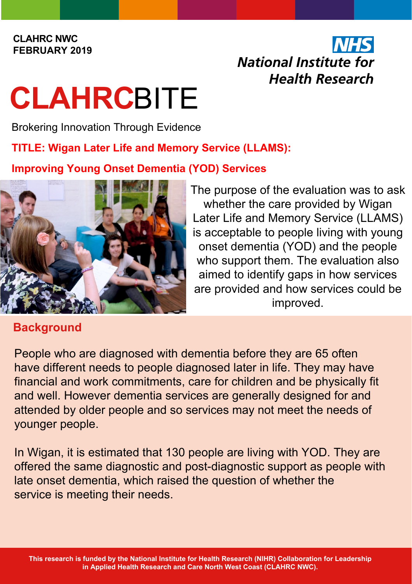#### **CLAHRC NWC FEBRUARY 2019**

## National Institute for **Health Research**

# **CLAHRC**BITE

Brokering Innovation Through Evidence

#### **TITLE: Wigan Later Life and Memory Service (LLAMS):**

#### **Improving Young Onset Dementia (YOD) Services**



### **Background**

The purpose of the evaluation was to ask whether the care provided by Wigan Later Life and Memory Service (LLAMS) is acceptable to people living with young onset dementia (YOD) and the people who support them. The evaluation also aimed to identify gaps in how services are provided and how services could be improved.

People who are diagnosed with dementia before they are 65 often have different needs to people diagnosed later in life. They may have financial and work commitments, care for children and be physically fit and well. However dementia services are generally designed for and attended by older people and so services may not meet the needs of younger people.

In Wigan, it is estimated that 130 people are living with YOD. They are offered the same diagnostic and post-diagnostic support as people with late onset dementia, which raised the question of whether the service is meeting their needs.